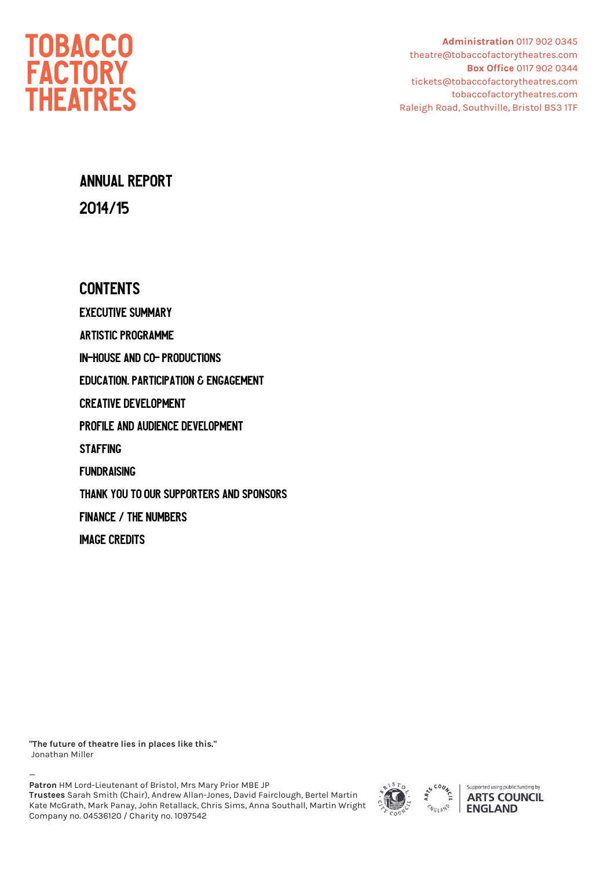

**Administration** 0117 902 0345 theatre@tobaccofactorytheatres.com  **Box Office** 0117 902 0344 tickets@tobaccofactorytheatres.com tobaccofactorytheatres.com Raleigh Road, Southville, Bristol BS3 1TF

# **ANNUAL REPORT** 2014/15

### **CONTENTS**

**EXECUTIVE SUMMARY ARTISTIC PROGRAMME IN-HOUSE AND CO- PRODUCTIONS EDUCATION. PARTICIPATION & ENGAGEMENT CREATIVE DEVELOPMENT** PROFILE AND AUDIENCE DEVELOPMENT **STAFFING FUNDRAISING** THANK YOU TO OUR SUPPORTERS AND SPONSORS **FINANCE / THE NUMBERS IMAGE CREDITS** 

**"The future of theatre lies in places like this."** Jonathan Miller

— **Patron** HM Lord-Lieutenant of Bristol, Mrs Mary Prior MBE JP **Trustees** Sarah Smith (Chair), Andrew Allan-Jones, David Fairclough, Bertel Martin Kate McGrath, Mark Panay, John Retallack, Chris Sims, Anna Southall, Martin Wright Company no. 04536120 / Charity no. 1097542



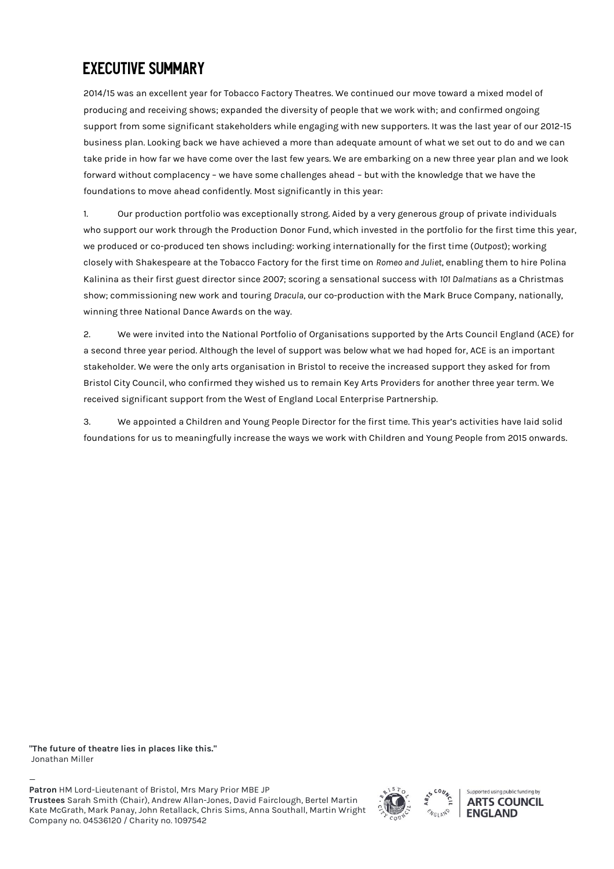# **EXECUTIVE SUMMARY**

2014/15 was an excellent year for Tobacco Factory Theatres. We continued our move toward a mixed model of producing and receiving shows; expanded the diversity of people that we work with; and confirmed ongoing support from some significant stakeholders while engaging with new supporters. It was the last year of our 2012-15 business plan. Looking back we have achieved a more than adequate amount of what we set out to do and we can take pride in how far we have come over the last few years. We are embarking on a new three year plan and we look forward without complacency – we have some challenges ahead – but with the knowledge that we have the foundations to move ahead confidently. Most significantly in this year:

1. Our production portfolio was exceptionally strong. Aided by a very generous group of private individuals who support our work through the Production Donor Fund, which invested in the portfolio for the first time this year, we produced or co-produced ten shows including: working internationally for the first time (*Outpost*); working closely with Shakespeare at the Tobacco Factory for the first time on *Romeo and Juliet*, enabling them to hire Polina Kalinina as their first guest director since 2007; scoring a sensational success with *101 Dalmatians* as a Christmas show; commissioning new work and touring *Dracula*, our co-production with the Mark Bruce Company, nationally, winning three National Dance Awards on the way.

2. We were invited into the National Portfolio of Organisations supported by the Arts Council England (ACE) for a second three year period. Although the level of support was below what we had hoped for, ACE is an important stakeholder. We were the only arts organisation in Bristol to receive the increased support they asked for from Bristol City Council, who confirmed they wished us to remain Key Arts Providers for another three year term. We received significant support from the West of England Local Enterprise Partnership.

3. We appointed a Children and Young People Director for the first time. This year's activities have laid solid foundations for us to meaningfully increase the ways we work with Children and Young People from 2015 onwards.

**"The future of theatre lies in places like this."** Jonathan Miller

— **Patron** HM Lord-Lieutenant of Bristol, Mrs Mary Prior MBE JP **Trustees** Sarah Smith (Chair), Andrew Allan-Jones, David Fairclough, Bertel Martin Kate McGrath, Mark Panay, John Retallack, Chris Sims, Anna Southall, Martin Wright Company no. 04536120 / Charity no. 1097542



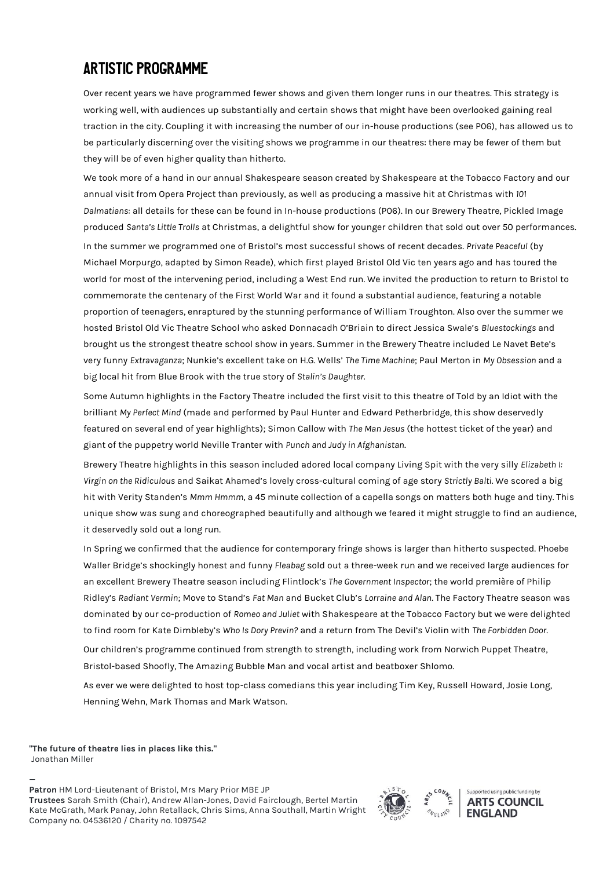## **ARTISTIC PROGRAMME**

Over recent years we have programmed fewer shows and given them longer runs in our theatres. This strategy is working well, with audiences up substantially and certain shows that might have been overlooked gaining real traction in the city. Coupling it with increasing the number of our in-house productions (see P06), has allowed us to be particularly discerning over the visiting shows we programme in our theatres: there may be fewer of them but they will be of even higher quality than hitherto.

We took more of a hand in our annual Shakespeare season created by Shakespeare at the Tobacco Factory and our annual visit from Opera Project than previously, as well as producing a massive hit at Christmas with *101 Dalmatians*: all details for these can be found in In-house productions (P06). In our Brewery Theatre, Pickled Image produced *Santa's Little Trolls* at Christmas, a delightful show for younger children that sold out over 50 performances.

In the summer we programmed one of Bristol's most successful shows of recent decades. *Private Peaceful* (by Michael Morpurgo, adapted by Simon Reade), which first played Bristol Old Vic ten years ago and has toured the world for most of the intervening period, including a West End run. We invited the production to return to Bristol to commemorate the centenary of the First World War and it found a substantial audience, featuring a notable proportion of teenagers, enraptured by the stunning performance of William Troughton. Also over the summer we hosted Bristol Old Vic Theatre School who asked Donnacadh O'Briain to direct Jessica Swale's *Bluestockings* and brought us the strongest theatre school show in years. Summer in the Brewery Theatre included Le Navet Bete's very funny *Extravaganza*; Nunkie's excellent take on H.G. Wells' *The Time Machine*; Paul Merton in *My Obsession* and a big local hit from Blue Brook with the true story of *Stalin's Daughter*.

Some Autumn highlights in the Factory Theatre included the first visit to this theatre of Told by an Idiot with the brilliant *My Perfect Mind* (made and performed by Paul Hunter and Edward Petherbridge, this show deservedly featured on several end of year highlights); Simon Callow with *The Man Jesus* (the hottest ticket of the year) and giant of the puppetry world Neville Tranter with *Punch and Judy in Afghanistan*.

Brewery Theatre highlights in this season included adored local company Living Spit with the very silly *Elizabeth I: Virgin on the Ridiculous* and Saikat Ahamed's lovely cross-cultural coming of age story *Strictly Balti*. We scored a big hit with Verity Standen's *Mmm Hmmm*, a 45 minute collection of a capella songs on matters both huge and tiny. This unique show was sung and choreographed beautifully and although we feared it might struggle to find an audience, it deservedly sold out a long run.

In Spring we confirmed that the audience for contemporary fringe shows is larger than hitherto suspected. Phoebe Waller Bridge's shockingly honest and funny *Fleabag* sold out a three-week run and we received large audiences for an excellent Brewery Theatre season including Flintlock's *The Government Inspector*; the world première of Philip Ridley's *Radiant Vermin*; Move to Stand's *Fat Man* and Bucket Club's *Lorraine and Alan*. The Factory Theatre season was dominated by our co-production of *Romeo and Juliet* with Shakespeare at the Tobacco Factory but we were delighted to find room for Kate Dimbleby's *Who Is Dory Previn?* and a return from The Devil's Violin with *The Forbidden Door*. Our children's programme continued from strength to strength, including work from Norwich Puppet Theatre, Bristol-based Shoofly, The Amazing Bubble Man and vocal artist and beatboxer Shlomo.

As ever we were delighted to host top-class comedians this year including Tim Key, Russell Howard, Josie Long, Henning Wehn, Mark Thomas and Mark Watson.

**"The future of theatre lies in places like this."** Jonathan Miller

— **Patron** HM Lord-Lieutenant of Bristol, Mrs Mary Prior MBE JP **Trustees** Sarah Smith (Chair), Andrew Allan-Jones, David Fairclough, Bertel Martin Kate McGrath, Mark Panay, John Retallack, Chris Sims, Anna Southall, Martin Wright Company no. 04536120 / Charity no. 1097542



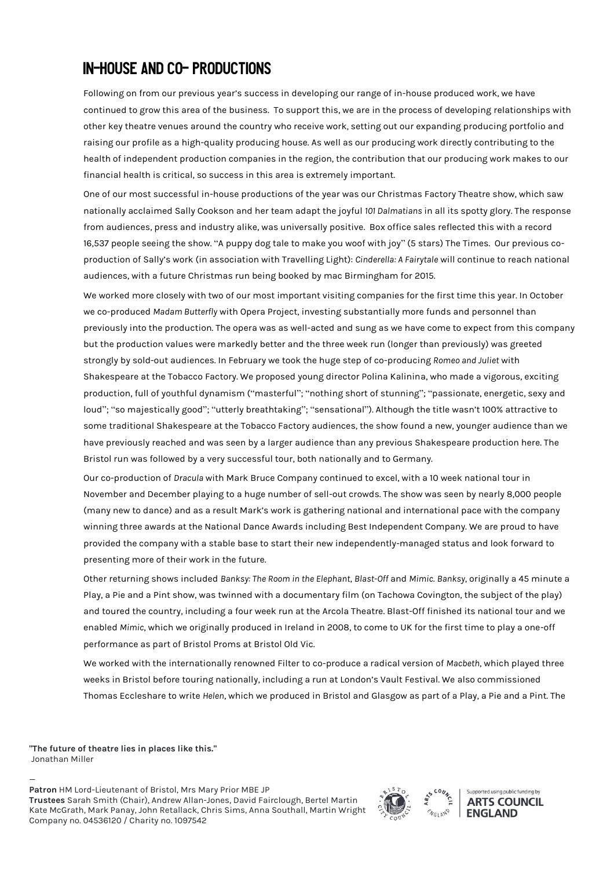# **IN-HOUSE AND CO- PRODUCTIONS**

Following on from our previous year's success in developing our range of in-house produced work, we have continued to grow this area of the business. To support this, we are in the process of developing relationships with other key theatre venues around the country who receive work, setting out our expanding producing portfolio and raising our profile as a high-quality producing house. As well as our producing work directly contributing to the health of independent production companies in the region, the contribution that our producing work makes to our financial health is critical, so success in this area is extremely important.

One of our most successful in-house productions of the year was our Christmas Factory Theatre show, which saw nationally acclaimed Sally Cookson and her team adapt the joyful *101 Dalmatians* in all its spotty glory. The response from audiences, press and industry alike, was universally positive. Box office sales reflected this with a record 16,537 people seeing the show. "A puppy dog tale to make you woof with joy" (5 stars) The Times. Our previous coproduction of Sally's work (in association with Travelling Light): *Cinderella: A Fairytale* will continue to reach national audiences, with a future Christmas run being booked by mac Birmingham for 2015.

We worked more closely with two of our most important visiting companies for the first time this year. In October we co-produced *Madam Butterfly* with Opera Project, investing substantially more funds and personnel than previously into the production. The opera was as well-acted and sung as we have come to expect from this company but the production values were markedly better and the three week run (longer than previously) was greeted strongly by sold-out audiences. In February we took the huge step of co-producing *Romeo and Juliet* with Shakespeare at the Tobacco Factory. We proposed young director Polina Kalinina, who made a vigorous, exciting production, full of youthful dynamism ("masterful"; "nothing short of stunning"; "passionate, energetic, sexy and loud"; "so majestically good"; "utterly breathtaking"; "sensational"). Although the title wasn't 100% attractive to some traditional Shakespeare at the Tobacco Factory audiences, the show found a new, younger audience than we have previously reached and was seen by a larger audience than any previous Shakespeare production here. The Bristol run was followed by a very successful tour, both nationally and to Germany.

Our co-production of *Dracula* with Mark Bruce Company continued to excel, with a 10 week national tour in November and December playing to a huge number of sell-out crowds. The show was seen by nearly 8,000 people (many new to dance) and as a result Mark's work is gathering national and international pace with the company winning three awards at the National Dance Awards including Best Independent Company. We are proud to have provided the company with a stable base to start their new independently-managed status and look forward to presenting more of their work in the future.

Other returning shows included *Banksy: The Room in the Elephant*, *Blast-Off* and *Mimic*. *Banksy*, originally a 45 minute a Play, a Pie and a Pint show, was twinned with a documentary film (on Tachowa Covington, the subject of the play) and toured the country, including a four week run at the Arcola Theatre. Blast-Off finished its national tour and we enabled *Mimic*, which we originally produced in Ireland in 2008, to come to UK for the first time to play a one-off performance as part of Bristol Proms at Bristol Old Vic.

We worked with the internationally renowned Filter to co-produce a radical version of *Macbeth*, which played three weeks in Bristol before touring nationally, including a run at London's Vault Festival. We also commissioned Thomas Eccleshare to write *Helen*, which we produced in Bristol and Glasgow as part of a Play, a Pie and a Pint. The

**"The future of theatre lies in places like this."** Jonathan Miller

— **Patron** HM Lord-Lieutenant of Bristol, Mrs Mary Prior MBE JP **Trustees** Sarah Smith (Chair), Andrew Allan-Jones, David Fairclough, Bertel Martin Kate McGrath, Mark Panay, John Retallack, Chris Sims, Anna Southall, Martin Wright Company no. 04536120 / Charity no. 1097542



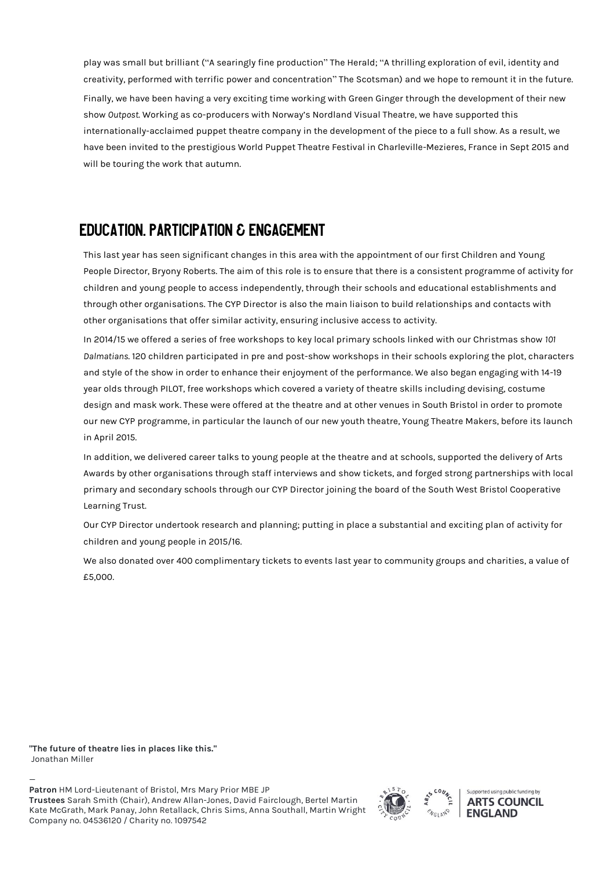play was small but brilliant ("A searingly fine production" The Herald; "A thrilling exploration of evil, identity and creativity, performed with terrific power and concentration" The Scotsman) and we hope to remount it in the future. Finally, we have been having a very exciting time working with Green Ginger through the development of their new show *Outpost*. Working as co-producers with Norway's Nordland Visual Theatre, we have supported this internationally-acclaimed puppet theatre company in the development of the piece to a full show. As a result, we have been invited to the prestigious World Puppet Theatre Festival in Charleville-Mezieres, France in Sept 2015 and will be touring the work that autumn.

### **EDUCATION. PARTICIPATION & ENGAGEMENT**

This last year has seen significant changes in this area with the appointment of our first Children and Young People Director, Bryony Roberts. The aim of this role is to ensure that there is a consistent programme of activity for children and young people to access independently, through their schools and educational establishments and through other organisations. The CYP Director is also the main liaison to build relationships and contacts with other organisations that offer similar activity, ensuring inclusive access to activity.

In 2014/15 we offered a series of free workshops to key local primary schools linked with our Christmas show *101 Dalmatians*. 120 children participated in pre and post-show workshops in their schools exploring the plot, characters and style of the show in order to enhance their enjoyment of the performance. We also began engaging with 14-19 year olds through PILOT, free workshops which covered a variety of theatre skills including devising, costume design and mask work. These were offered at the theatre and at other venues in South Bristol in order to promote our new CYP programme, in particular the launch of our new youth theatre, Young Theatre Makers, before its launch in April 2015.

In addition, we delivered career talks to young people at the theatre and at schools, supported the delivery of Arts Awards by other organisations through staff interviews and show tickets, and forged strong partnerships with local primary and secondary schools through our CYP Director joining the board of the South West Bristol Cooperative Learning Trust.

Our CYP Director undertook research and planning; putting in place a substantial and exciting plan of activity for children and young people in 2015/16.

We also donated over 400 complimentary tickets to events last year to community groups and charities, a value of £5,000.

**"The future of theatre lies in places like this."** Jonathan Miller

— **Patron** HM Lord-Lieutenant of Bristol, Mrs Mary Prior MBE JP **Trustees** Sarah Smith (Chair), Andrew Allan-Jones, David Fairclough, Bertel Martin Kate McGrath, Mark Panay, John Retallack, Chris Sims, Anna Southall, Martin Wright Company no. 04536120 / Charity no. 1097542



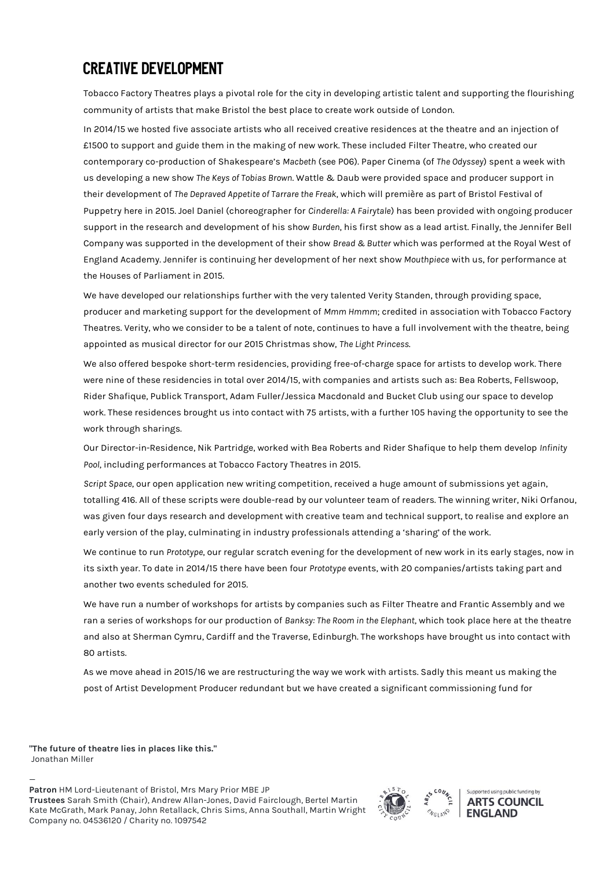## **CREATIVE DEVELOPMENT**

Tobacco Factory Theatres plays a pivotal role for the city in developing artistic talent and supporting the flourishing community of artists that make Bristol the best place to create work outside of London.

In 2014/15 we hosted five associate artists who all received creative residences at the theatre and an injection of £1500 to support and guide them in the making of new work. These included Filter Theatre, who created our contemporary co-production of Shakespeare's *Macbeth* (see P06). Paper Cinema (of *The Odyssey*) spent a week with us developing a new show *The Keys of Tobias Brown*. Wattle & Daub were provided space and producer support in their development of *The Depraved Appetite of Tarrare the Freak*, which will première as part of Bristol Festival of Puppetry here in 2015. Joel Daniel (choreographer for *Cinderella: A Fairytale*) has been provided with ongoing producer support in the research and development of his show *Burden*, his first show as a lead artist. Finally, the Jennifer Bell Company was supported in the development of their show *Bread & Butter* which was performed at the Royal West of England Academy. Jennifer is continuing her development of her next show *Mouthpiece* with us, for performance at the Houses of Parliament in 2015.

We have developed our relationships further with the very talented Verity Standen, through providing space, producer and marketing support for the development of *Mmm Hmmm*; credited in association with Tobacco Factory Theatres. Verity, who we consider to be a talent of note, continues to have a full involvement with the theatre, being appointed as musical director for our 2015 Christmas show, *The Light Princess*.

We also offered bespoke short-term residencies, providing free-of-charge space for artists to develop work. There were nine of these residencies in total over 2014/15, with companies and artists such as: Bea Roberts, Fellswoop, Rider Shafique, Publick Transport, Adam Fuller/Jessica Macdonald and Bucket Club using our space to develop work. These residences brought us into contact with 75 artists, with a further 105 having the opportunity to see the work through sharings.

Our Director-in-Residence, Nik Partridge, worked with Bea Roberts and Rider Shafique to help them develop *Infinity Pool*, including performances at Tobacco Factory Theatres in 2015.

*Script Space*, our open application new writing competition, received a huge amount of submissions yet again, totalling 416. All of these scripts were double-read by our volunteer team of readers. The winning writer, Niki Orfanou, was given four days research and development with creative team and technical support, to realise and explore an early version of the play, culminating in industry professionals attending a 'sharing' of the work.

We continue to run *Prototype*, our regular scratch evening for the development of new work in its early stages, now in its sixth year. To date in 2014/15 there have been four *Prototype* events, with 20 companies/artists taking part and another two events scheduled for 2015.

We have run a number of workshops for artists by companies such as Filter Theatre and Frantic Assembly and we ran a series of workshops for our production of *Banksy: The Room in the Elephant*, which took place here at the theatre and also at Sherman Cymru, Cardiff and the Traverse, Edinburgh. The workshops have brought us into contact with 80 artists.

As we move ahead in 2015/16 we are restructuring the way we work with artists. Sadly this meant us making the post of Artist Development Producer redundant but we have created a significant commissioning fund for

**"The future of theatre lies in places like this."** Jonathan Miller

— **Patron** HM Lord-Lieutenant of Bristol, Mrs Mary Prior MBE JP **Trustees** Sarah Smith (Chair), Andrew Allan-Jones, David Fairclough, Bertel Martin Kate McGrath, Mark Panay, John Retallack, Chris Sims, Anna Southall, Martin Wright Company no. 04536120 / Charity no. 1097542



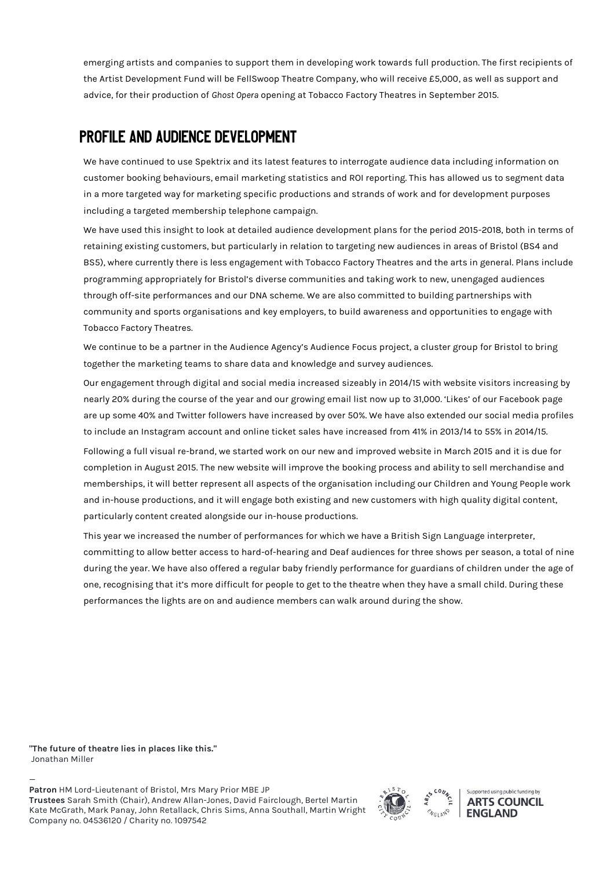emerging artists and companies to support them in developing work towards full production. The first recipients of the Artist Development Fund will be FellSwoop Theatre Company, who will receive £5,000, as well as support and advice, for their production of *Ghost Opera* opening at Tobacco Factory Theatres in September 2015.

### **PROFILE AND AUDIENCE DEVELOPMENT**

We have continued to use Spektrix and its latest features to interrogate audience data including information on customer booking behaviours, email marketing statistics and ROI reporting. This has allowed us to segment data in a more targeted way for marketing specific productions and strands of work and for development purposes including a targeted membership telephone campaign.

We have used this insight to look at detailed audience development plans for the period 2015-2018, both in terms of retaining existing customers, but particularly in relation to targeting new audiences in areas of Bristol (BS4 and BS5), where currently there is less engagement with Tobacco Factory Theatres and the arts in general. Plans include programming appropriately for Bristol's diverse communities and taking work to new, unengaged audiences through off-site performances and our DNA scheme. We are also committed to building partnerships with community and sports organisations and key employers, to build awareness and opportunities to engage with Tobacco Factory Theatres.

We continue to be a partner in the Audience Agency's Audience Focus project, a cluster group for Bristol to bring together the marketing teams to share data and knowledge and survey audiences.

Our engagement through digital and social media increased sizeably in 2014/15 with website visitors increasing by nearly 20% during the course of the year and our growing email list now up to 31,000. 'Likes' of our Facebook page are up some 40% and Twitter followers have increased by over 50%. We have also extended our social media profiles to include an Instagram account and online ticket sales have increased from 41% in 2013/14 to 55% in 2014/15.

Following a full visual re-brand, we started work on our new and improved website in March 2015 and it is due for completion in August 2015. The new website will improve the booking process and ability to sell merchandise and memberships, it will better represent all aspects of the organisation including our Children and Young People work and in-house productions, and it will engage both existing and new customers with high quality digital content, particularly content created alongside our in-house productions.

This year we increased the number of performances for which we have a British Sign Language interpreter, committing to allow better access to hard-of-hearing and Deaf audiences for three shows per season, a total of nine during the year. We have also offered a regular baby friendly performance for guardians of children under the age of one, recognising that it's more difficult for people to get to the theatre when they have a small child. During these performances the lights are on and audience members can walk around during the show.

**"The future of theatre lies in places like this."** Jonathan Miller

— **Patron** HM Lord-Lieutenant of Bristol, Mrs Mary Prior MBE JP **Trustees** Sarah Smith (Chair), Andrew Allan-Jones, David Fairclough, Bertel Martin Kate McGrath, Mark Panay, John Retallack, Chris Sims, Anna Southall, Martin Wright Company no. 04536120 / Charity no. 1097542



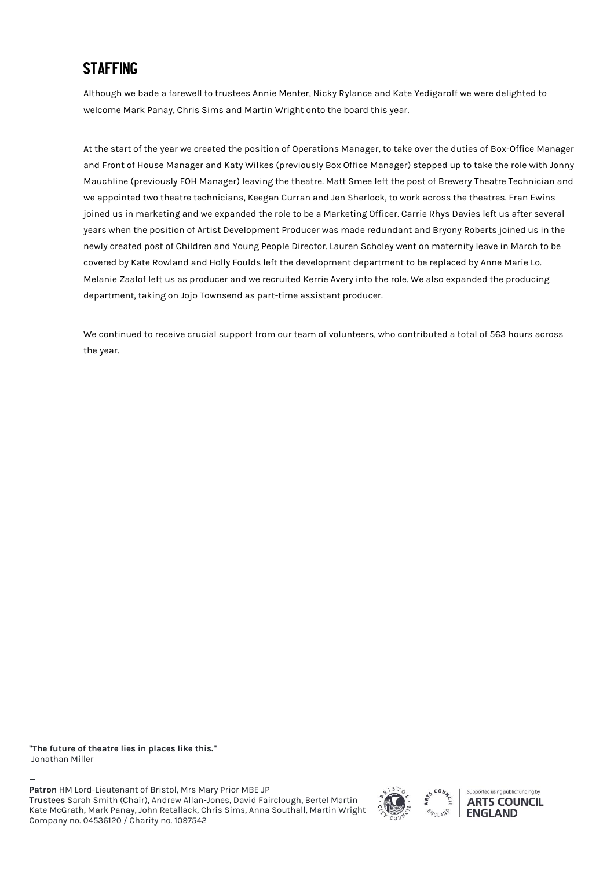## **STAFFING**

Although we bade a farewell to trustees Annie Menter, Nicky Rylance and Kate Yedigaroff we were delighted to welcome Mark Panay, Chris Sims and Martin Wright onto the board this year.

At the start of the year we created the position of Operations Manager, to take over the duties of Box-Office Manager and Front of House Manager and Katy Wilkes (previously Box Office Manager) stepped up to take the role with Jonny Mauchline (previously FOH Manager) leaving the theatre. Matt Smee left the post of Brewery Theatre Technician and we appointed two theatre technicians, Keegan Curran and Jen Sherlock, to work across the theatres. Fran Ewins joined us in marketing and we expanded the role to be a Marketing Officer. Carrie Rhys Davies left us after several years when the position of Artist Development Producer was made redundant and Bryony Roberts joined us in the newly created post of Children and Young People Director. Lauren Scholey went on maternity leave in March to be covered by Kate Rowland and Holly Foulds left the development department to be replaced by Anne Marie Lo. Melanie Zaalof left us as producer and we recruited Kerrie Avery into the role. We also expanded the producing department, taking on Jojo Townsend as part-time assistant producer.

We continued to receive crucial support from our team of volunteers, who contributed a total of 563 hours across the year.

**"The future of theatre lies in places like this."** Jonathan Miller

— **Patron** HM Lord-Lieutenant of Bristol, Mrs Mary Prior MBE JP **Trustees** Sarah Smith (Chair), Andrew Allan-Jones, David Fairclough, Bertel Martin Kate McGrath, Mark Panay, John Retallack, Chris Sims, Anna Southall, Martin Wright Company no. 04536120 / Charity no. 1097542



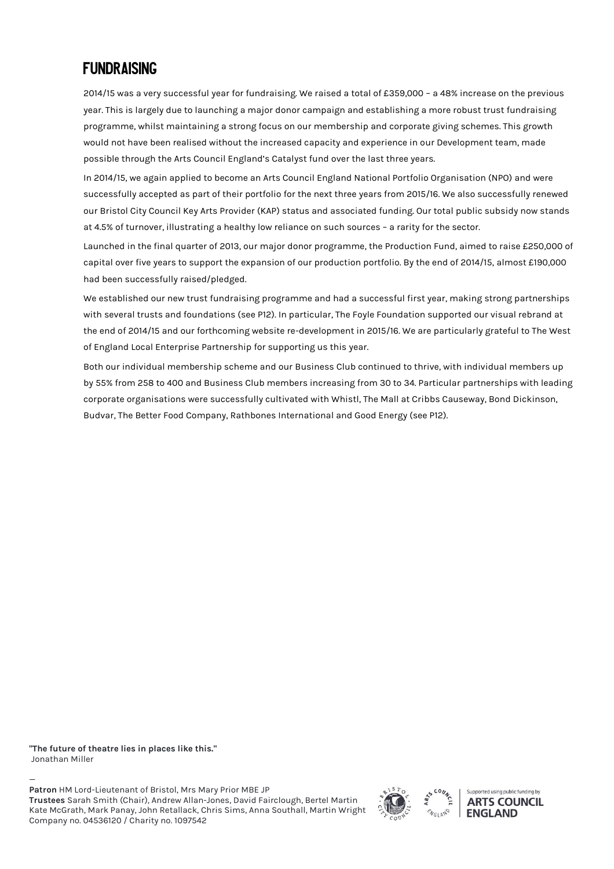### **FUNDRAISING**

2014/15 was a very successful year for fundraising. We raised a total of £359,000 – a 48% increase on the previous year. This is largely due to launching a major donor campaign and establishing a more robust trust fundraising programme, whilst maintaining a strong focus on our membership and corporate giving schemes. This growth would not have been realised without the increased capacity and experience in our Development team, made possible through the Arts Council England's Catalyst fund over the last three years.

In 2014/15, we again applied to become an Arts Council England National Portfolio Organisation (NPO) and were successfully accepted as part of their portfolio for the next three years from 2015/16. We also successfully renewed our Bristol City Council Key Arts Provider (KAP) status and associated funding. Our total public subsidy now stands at 4.5% of turnover, illustrating a healthy low reliance on such sources – a rarity for the sector.

Launched in the final quarter of 2013, our major donor programme, the Production Fund, aimed to raise £250,000 of capital over five years to support the expansion of our production portfolio. By the end of 2014/15, almost £190,000 had been successfully raised/pledged.

We established our new trust fundraising programme and had a successful first year, making strong partnerships with several trusts and foundations (see P12). In particular, The Foyle Foundation supported our visual rebrand at the end of 2014/15 and our forthcoming website re-development in 2015/16. We are particularly grateful to The West of England Local Enterprise Partnership for supporting us this year.

Both our individual membership scheme and our Business Club continued to thrive, with individual members up by 55% from 258 to 400 and Business Club members increasing from 30 to 34. Particular partnerships with leading corporate organisations were successfully cultivated with Whistl, The Mall at Cribbs Causeway, Bond Dickinson, Budvar, The Better Food Company, Rathbones International and Good Energy (see P12).

**"The future of theatre lies in places like this."** Jonathan Miller

— **Patron** HM Lord-Lieutenant of Bristol, Mrs Mary Prior MBE JP **Trustees** Sarah Smith (Chair), Andrew Allan-Jones, David Fairclough, Bertel Martin Kate McGrath, Mark Panay, John Retallack, Chris Sims, Anna Southall, Martin Wright Company no. 04536120 / Charity no. 1097542



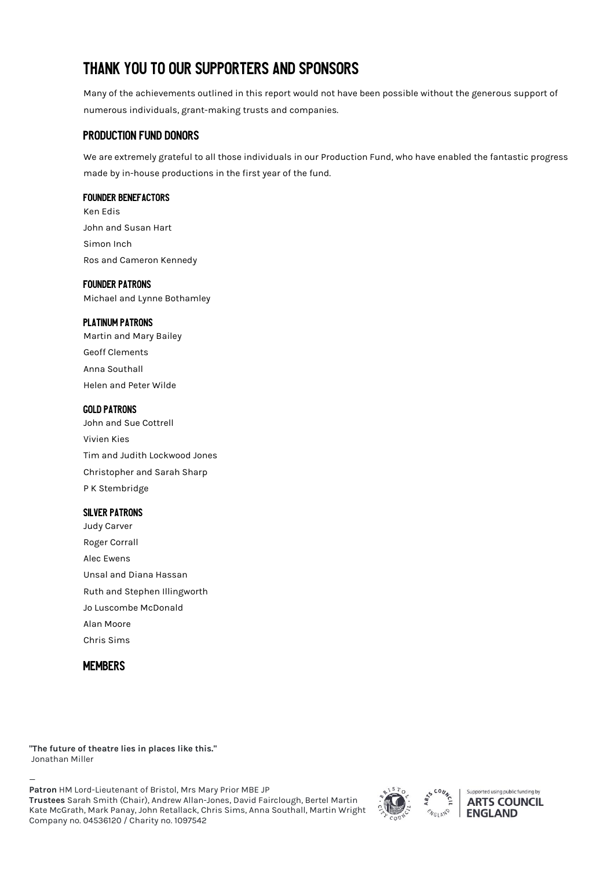# THANK YOU TO OUR SUPPORTERS AND SPONSORS

Many of the achievements outlined in this report would not have been possible without the generous support of numerous individuals, grant-making trusts and companies.

### **PRODUCTION FUND DONORS**

We are extremely grateful to all those individuals in our Production Fund, who have enabled the fantastic progress made by in-house productions in the first year of the fund.

#### **FOUNDER BENEFACTORS**

Ken Edis John and Susan Hart Simon Inch Ros and Cameron Kennedy

#### **FOUNDER PATRONS**

Michael and Lynne Bothamley

#### **PLATINUM PATRONS**

Martin and Mary Bailey Geoff Clements Anna Southall Helen and Peter Wilde

#### **GOLD PATRONS**

John and Sue Cottrell Vivien Kies Tim and Judith Lockwood Jones Christopher and Sarah Sharp P K Stembridge

#### **SILVER PATRONS**

Judy Carver Roger Corrall Alec Ewens Unsal and Diana Hassan Ruth and Stephen Illingworth Jo Luscombe McDonald Alan Moore Chris Sims

### **MEMBERS**

**"The future of theatre lies in places like this."** Jonathan Miller

— **Patron** HM Lord-Lieutenant of Bristol, Mrs Mary Prior MBE JP **Trustees** Sarah Smith (Chair), Andrew Allan-Jones, David Fairclough, Bertel Martin Kate McGrath, Mark Panay, John Retallack, Chris Sims, Anna Southall, Martin Wright Company no. 04536120 / Charity no. 1097542



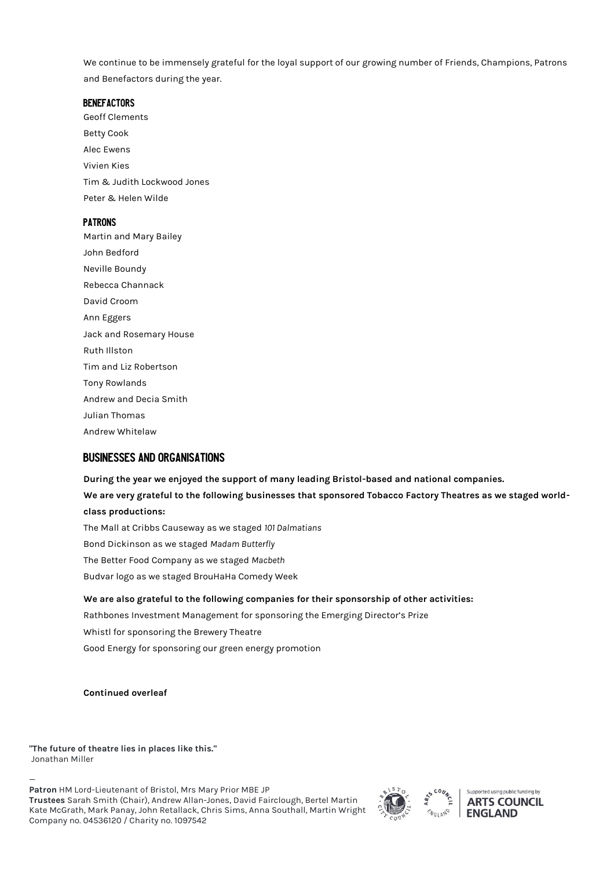We continue to be immensely grateful for the loyal support of our growing number of Friends, Champions, Patrons and Benefactors during the year.

#### **BENEFACTORS**

Geoff Clements Betty Cook Alec Ewens Vivien Kies Tim & Judith Lockwood Jones Peter & Helen Wilde

#### **PATRONS**

Martin and Mary Bailey John Bedford Neville Boundy Rebecca Channack David Croom Ann Eggers Jack and Rosemary House Ruth Illston Tim and Liz Robertson Tony Rowlands Andrew and Decia Smith Julian Thomas Andrew Whitelaw

### **BUSINESSES AND ORGANISATIONS**

**During the year we enjoyed the support of many leading Bristol-based and national companies. We are very grateful to the following businesses that sponsored Tobacco Factory Theatres as we staged worldclass productions:** The Mall at Cribbs Causeway as we staged *101 Dalmatians* Bond Dickinson as we staged *Madam Butterfly* The Better Food Company as we staged *Macbeth* Budvar logo as we staged BrouHaHa Comedy Week **We are also grateful to the following companies for their sponsorship of other activities:** 

Rathbones Investment Management for sponsoring the Emerging Director's Prize Whistl for sponsoring the Brewery Theatre Good Energy for sponsoring our green energy promotion

**Continued overleaf**

**"The future of theatre lies in places like this."** Jonathan Miller

— **Patron** HM Lord-Lieutenant of Bristol, Mrs Mary Prior MBE JP **Trustees** Sarah Smith (Chair), Andrew Allan-Jones, David Fairclough, Bertel Martin Kate McGrath, Mark Panay, John Retallack, Chris Sims, Anna Southall, Martin Wright Company no. 04536120 / Charity no. 1097542



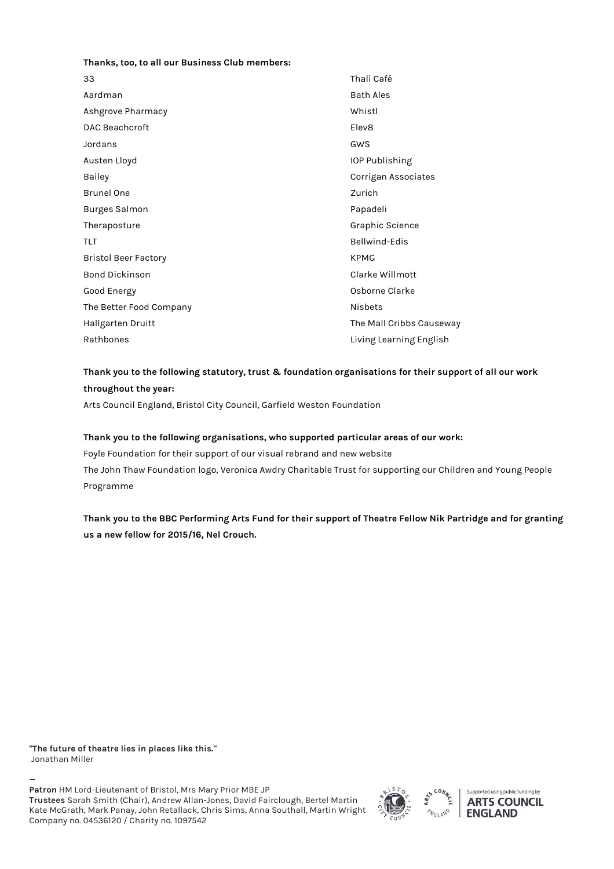#### **Thanks, too, to all our Business Club members:**

| 33                          | Thali Café               |
|-----------------------------|--------------------------|
| Aardman                     | <b>Bath Ales</b>         |
| Ashgrove Pharmacy           | Whistl                   |
| <b>DAC Beachcroft</b>       | Elev <sub>8</sub>        |
| Jordans                     | GWS                      |
| Austen Lloyd                | IOP Publishing           |
| Bailey                      | Corrigan Associates      |
| <b>Brunel One</b>           | Zurich                   |
| <b>Burges Salmon</b>        | Papadeli                 |
| Theraposture                | Graphic Science          |
| <b>TLT</b>                  | Bellwind-Edis            |
| <b>Bristol Beer Factory</b> | <b>KPMG</b>              |
| <b>Bond Dickinson</b>       | Clarke Willmott          |
| Good Energy                 | Osborne Clarke           |
| The Better Food Company     | <b>Nisbets</b>           |
| Hallgarten Druitt           | The Mall Cribbs Causeway |
| Rathbones                   | Living Learning English  |

### **Thank you to the following statutory, trust & foundation organisations for their support of all our work throughout the year:**

Arts Council England, Bristol City Council, Garfield Weston Foundation

#### **Thank you to the following organisations, who supported particular areas of our work:**

Foyle Foundation for their support of our visual rebrand and new website The John Thaw Foundation logo, Veronica Awdry Charitable Trust for supporting our Children and Young People Programme

**Thank you to the BBC Performing Arts Fund for their support of Theatre Fellow Nik Partridge and for granting us a new fellow for 2015/16, Nel Crouch.**

**"The future of theatre lies in places like this."** Jonathan Miller

— **Patron** HM Lord-Lieutenant of Bristol, Mrs Mary Prior MBE JP **Trustees** Sarah Smith (Chair), Andrew Allan-Jones, David Fairclough, Bertel Martin Kate McGrath, Mark Panay, John Retallack, Chris Sims, Anna Southall, Martin Wright Company no. 04536120 / Charity no. 1097542